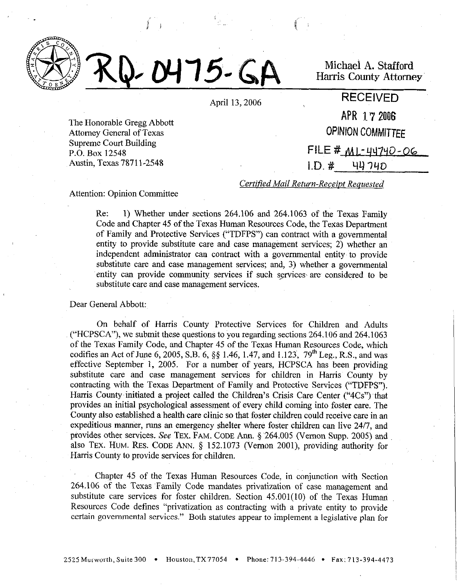



Michaei A. Stafford Harris County Attorney

April 13,2006 **RECEIVED** 

The Honorable Gregg Abbott Attorney General of Texas Supreme Court Building P.O. Box 12548 Austin, Texas 78711-2548

APR 172006 **OPINION COMMITTEE**  $FILE # M1 - 44740 - 06$ 

 $1.D. # 44740$ 

*Certified Mail Return-Receipt Requested* 

#### Attention: Opinion Committee

Re: 1) Whether under sections 264.106 and 264.1063 of the Texas Family Code and Chapter 45 of the Texas Human Resources Code, the Texas Department of Family and Protective Services ("TDFPS") can contract with a governmental entity to provide substitute care and *case* management services; 2) whether an independent administrator can contract with a governmental entity to provide substitute care and case management services; and, 3) whether a governmental entity can provide community *services* if such services; are considered to be substitute care and case management services.

## Dear General Abbott:

On behalf of Harris County Protective Services for Children and Adults ("HCPSCA"), we submit these questions to you regarding sections 264.106 and 264.1063 of the Texas Family Code, and Chapter 45 of the Texas Human Resources Code, which codifies an Act of June 6, 2005, S.B. 6, §§ 1.46, 1.47, and 1.123, 79<sup>th</sup> Leg., R.S., and was effective September 1, 2005. For a number of years, HCPSCA has been providing substitute care and case management services for children in Harris County by contracting with the Texas Department of Family and Protective Services ("TDFPS"). Harris County initiated a project called the Children's Crisis Care Center ("4Cs") that provides an initial psychological assessment of every child coming into foster care. The County also established a health care clinic so that foster children could receive care in an expeditious manner, runs an emergency shelter where foster children can live 24/7, and provides other services. See TEX. FAM. CODE Ann. § 264.005 (Vernon Supp. 2005) and also TEX. HUM. RES. CODE ANN.  $\S$  152.1073 (Vernon 2001), providing authority for Harris County to provide services for children.

Chapter 45 of the Texas Human Resources Code, in conjunction with Section 264.106 of the Texas Family Code mandates privatization of case management and substitute care services for foster children. Section 45.001(10) of the Texas Human Resources Code defines "privatization as contracting with a private entity to provide certain governmental services." Both statutes appear to implement a legislative plan for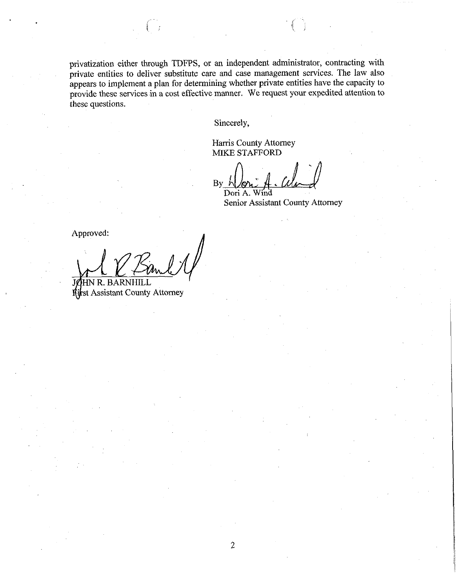privatization either through TDFPS, or an independent administrator, contracting with private entities to deliver substitute care and case management services. The law also appears to implement a plan for determining whether private entities have the capacity to provide these services in a cost effective manner. We request your expedited attention to these questions.

Sincerely,

 $\overline{2}$ 

Harris County Attorney MIKE STAFFORD

 $By \rightharpoonup$ Dori A. Wind

Senior Assistant County Attorney

Approved:

HN R. BARN **first Assistant County Attorney**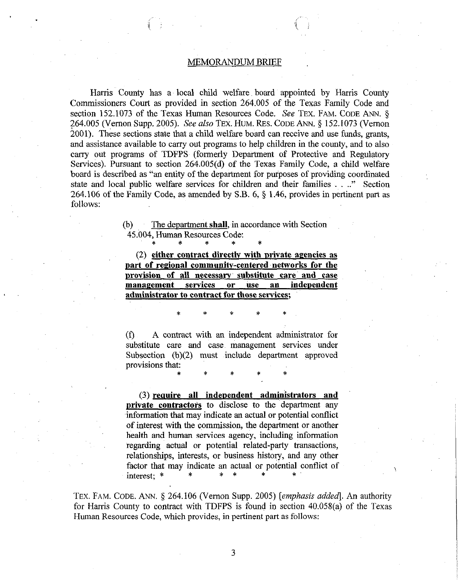#### MEMORANDUM BRIEF

Harris County has a~ local child welfare, board appointed by Harris County Commissioners Court as provided in section 264.005 of the Texas Family Code and section 152.1073 of the Texas Human Resources Code. See TEX. FAM. CODE ANN. § 264.005 (Vernon Supp. 2005). See also **TEX.** HUM. RES. CODE ANN. 5 152.1073 (Vernon 2001). These sections state that a child welfare board can receive and use funds, grants, and assistance available to carry out programs to help children in the county, and to also carry out programs of TDFPS. (formerly Department of Protective and Regulatory Services). Pursuant to section 264.005(d) of the Texas Family Code, a child welfare board is described as "an entity of the department for purposes of providing coordinated state and local public welfare services for children and their families . .." Section 264.106 of the Family Code, as amended by S.B. 6, 5 1.46, provides in pertinent part as follows:

> (b) The department shall, in accordance with Section *45.604,* Human Resources Code:

> > \* \* \* \* \*

**(2) either~ contract directlv with private agencies as part of regional communitv-centered networks for the**  provision of all necessary substitute care and case management services or use an independent **administrator to contract for those services;** 

 $(1)$  A contract with an independent administrator for substitute care and case management services under Subsection  $(b)(2)$  must include department approved provisions that:

\* \* \* \* \*

**\* \* \* \* \*** 

**(3) require all independent administrators and private contractors** to disclose to the department any information that may indicate an actual or potential conflict of interest with the commission, the department or another health and human services agency, including information regarding actual or potential related-party transactions, relationships, interests, or business history, and any other factor that may indicate an actual or potential conflict of  $\gamma$ 

TEX. FAM. CODE. ANN. § 264.106 (Vernon Supp. 2005) [emphasis added]. An authority for Harris County to contract with TDFPS is found in section 40.058(a) of the Texas Human Resources Code, which provides, in pertinent part as follows: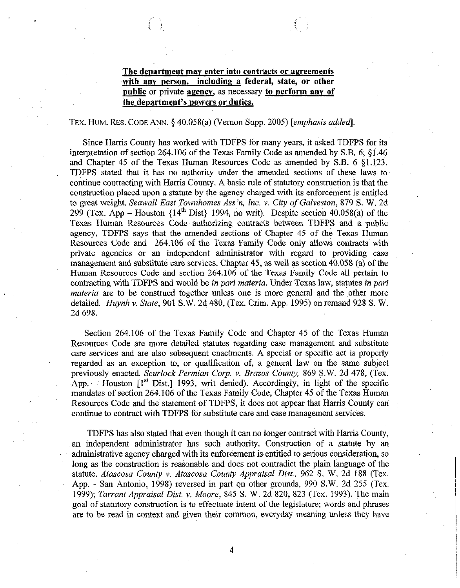# The department may enter into contracts or agreements **.with any person, including a federal, state, or other**  public or private **agency**, as necessary **to perform any of the department's powers or duties.**

#### TEX. HUM. RES. CODE ANN. \$40.058(a) (Vernon Supp. 2005) *[emphasis added].*

Since Harris County has worked with TDFPS for many years, it asked TDFPS for its interpretation of section 264.106 of the Texas Family Code as amended by S.B.  $6, 81.46$ and Chapter 45 of the Texas Human Resources Code as amended by S.B. 6 \$1.123. TDFPS stated that it has no authority under the amended sections of these laws to continue contracting with Harris County. A basic rule of statutory construction 'is that the construction placed upon a statute by the agency charged with its enforcement is entitled to great weight. *Seawall East Townhomes Ass'n, Inc. v. City of Galveston, 879 S.* W. 2d 299 (Tex. App – Houston  $\{14^{th} \text{ Dist}\}\$  1994, no writ). Despite section 40.058(a) of the Texas Human Resources Code authorizing contracts between TDFPS and a public agency, TDFPS says that the amended sections of Chapter 45 of the Texas Human Resources Code and 264.106 of the Texas Family Code only allows' contracts with private agencies or an independent administrator with regard to providing case management and substitute care services. Chapter 45, as well as section 40.058 (a) of the Human Resources Code and section 264.106 of the Texas Family Code all pertain to contracting with TDFPS and would be in pari *materia,* Under Texas law, statutes in puri *materia are* to be construed together unless one is more general and the other more detailed. *Huynh* v. State, 901 S.W. 24 480, (Tex. Crim. App. 1995) on remand 928 S. W. 2d 698.

Section 264.106 of the Texas Family Code and Chapter 45 of the Texas Human Resources Code are more detailed statutes regarding case management and substitute care services and are also subsequent enactments. A special or specific act is properly regarded as an exception to, or qualification of, a general law on the same subject previously enacted. *Scurlock Permian Corp. v. Brazos County*, 869 S.W. 2d 478, (Tex. App.  $-$  Houston  $[1<sup>st</sup> Dist.]$  1993, writ denied). Accordingly, in light of the specific mandates of section 264.106 of the Texas Family Code, Chapter 45 of the Texas Human Resources Code and the statement of TDFPS, it does not appear that Harris County can continue to contract with TDFPS for substitute care and case management services.

TDFPS has also stated that even though it can no longer contract with Harris County, an independent administrator has such authority. Construction of a statute by an administrative agency charged with its enforcement is entitled to serious consideration, so long as the construction is reasonable and does not contradict the plain language of the statute. *Atascosa County v. Atascosa County Appraisal Dist.*, 962 S. W. 2d 188 (Tex. App. - San Antonio, 1998) reversed in part on other grounds, 990 S.W. 2d 255 (Tex. 1999); *Tarrant Appraisal Dist.* v. *Moore,* 845 S. W. 2d 820, 823 (Tex. 1993). The main goal of statutory construction is to effectuate intent of the legislature; words and phrases are to be read in context and given their common, everyday meaning unless they have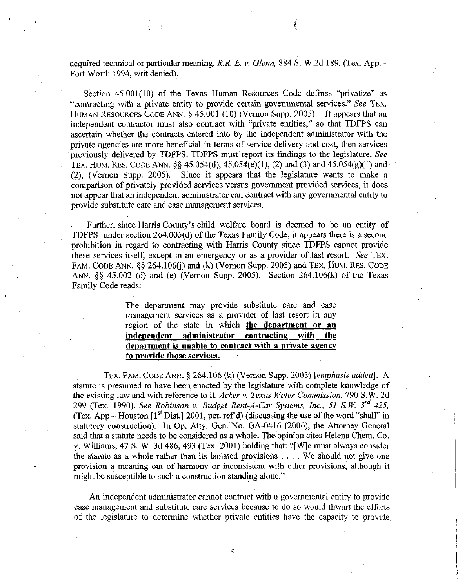acquired technical or particular meaning. *R. R. E.* v. *Glenn,* 884 S. W.2d 189, (Tex. App. - Fort Worth 1994, writ denied).

Section 45.001(10) of the Texas Human Resources Code defines "privatize" as "contracting with a private entity to provide certain governmental services." See TEX. HUMAN RESOURCES CODE ANN.  $\S$  45.001 (10) (Vernon Supp. 2005). It appears that an independent contractor must also contract with "private entities," so that TDFPS can ascertain whether the contracts entered into by the independent administrator with the private agencies are more beneficial in terms of service delivery and cost, then services previously delivered by TDFPS. TDFPS must report its findings to the legislature. See TEX. HUM. RES. CODE ANN.  $\S\S 45.054(d)$ ,  $45.054(e)(1)$ , (2) and (3) and  $45.054(g)(1)$  and (2) (Vernon Supp. 2005). Since it appears that the legislature wants to make a comparison of privately provided services versus government provided services, it does not appear that an independent administrator can contract with any governmental entity to provide substitute care and case management services.

Further, since Harris County's child welfare board is deemed to be an entity of TDFPS under section 264.005(d) of the Texas Family Code, it appears there is a second prohibition in regard to contracting with Harris County since TDFPS cannot provide these services itself, except in an emergency or as a provider of last resort. See TEX. FAM. CODE ANN. \$5 264.106(i) and (k) (Vernon Supp. 2005) and TEX. HUM. RES. CODE ANN. §§ 45.002 (d) and (e) (Vernon Supp. 2005). Section 264.106(k) of the Texas Family Code reads:

> The department may provide substitute care and case management services as a provider of last resort in any region of the state in which **the department or an independent administrator contracting with the**  department is unable to contract with a private agency **to provide those services.**

TEX. FAM. CODE ANN. *5 264.106* (k) (Vernon Supp. *2005) [emphasis added].* A statute is presumed to have been enacted by the legislature with complete knowledge of the existing law and with reference to it. Acker v. Texas Water Commission, 790 S.W. 2d *299* (Tex. 1990). *See Robinson v. .Budget Rent-A-Car Systems, Inc., 51 S.K 3'd 425,*  (Tex. App  $-$  Houston  $[1<sup>st</sup> Dist.]$  2001, pet. ref'd) (discussing the use of the word "shall" in statutory construction). In Op. Atty. Gen. No. GA-0416 (2006), the Attorney General said that a statute needs to be considered as a whole. The opinion cites Helena Chem. Co. v. Williams, 47 S. W. 3d 486, 493 (Tex. 2001) holding that: "[W]e must always consider the statute as a whole rather than its isolated provisions  $\dots$ . We should not give one provision a meaning out of harmony or inconsistent with other provisions, although it might be susceptible to such a construction standing alone."

An independent administrator cannot contract with a governmental entity to provide case management and substitute care services because to do so would thwart the efforts of the legislature to determine whether private entities have the capacity to provide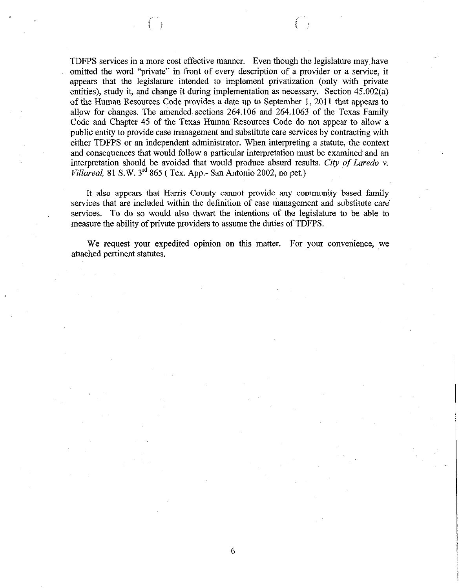TDFPS services in a more cost effective manner. Even though the legislature may have omitted the word "private" in front of every description of a provider or a service, it appears that the legislature intended to implement privatization (only with private entities), study it, and change it during implementation as necessary. Section 45.002(a) of the Human Resources Code provides a date up to September 1, 2011 that appears to allow for changes. The amended sections 264.106 and 264.1063 of the Texas Family Code and Chapter 45 of the Texas Human Resources Code do not appear to allow a public entity to provide case management and substitute care services by contracting with either TDFPS or an independent administrator. When interpreting a statute, the context and consequences that would follow a particular interpretation must be examined and an interpretation should be avoided that would produce absurd results. City of Laredo v. *Villareal,* 81 S.W. 3'd 865 ( Tex. App.- San Antonio 2002, no pet.)

It also appears that Harris County cannot provide any community based family services that are included within the definition of case management and substitute care services. To do so would also thwart the intentions of the legislature to be able to measure the ability of private providers to assume the duties of TDFPS.

We request your expedited opinion on this matter. For your convenience, we attached pertinent statutes.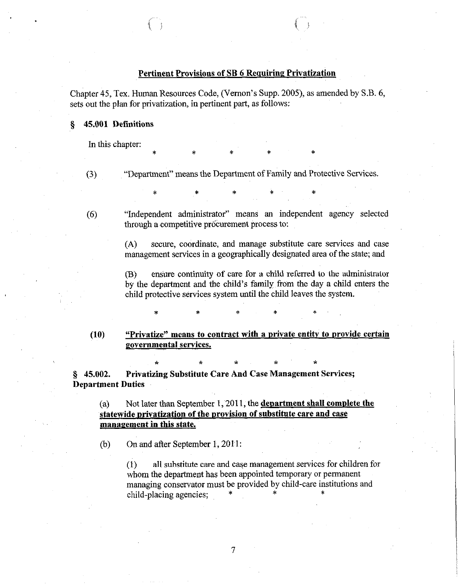# Pertinent Provisions of SB 6 Requiring Privatization

Chapter 45, Tex. Human Resources Code, (Vernon's Supp. 2005), as amended by S.B. 6; sets out the plan for privatization, in pertinent part, as follows:

\* \* \* \* \*

\* \* \* \* \*

# 5 45.001 **Definitions**

In this chapter:

"Department" means the Department of Family and Protective Services.

(6)

(3)

"Independent administrator" means an independent agency selected through a competitive procurement process to:

(A) secure, coordinate, and manage substitute care services and case management services in a geographically designated area of the state; and

**(B)** ensure continuity of care for a child referred to the administrator by the department and the child's family from the day a child enters the child protective services system until the child leaves the system.

(10) **"Privatize" means to contract with a private entity to provide certain povernmental services.** 

**\* h \* \* \*** 

\* \* \* \* \*

s 45.002. **Privatizing Substitute Care And Case Management Services; Department Duties** 

(a) Not later than September 1, 2011, the **department shall complete the statewide privatization of the provision of substitute care and case management in this state.** 

**(b)** On and after September 1, 2011:

(1) all substitute care and case management services for children for whom the department has been appointed temporary or permanent managing conservator must be provided by child-care institutions and child-placing agencies;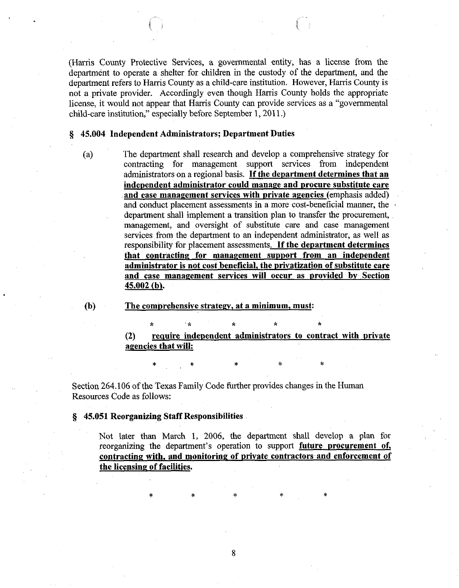(Harris County Protective Services, a governmental entity, has a license from the department to operate a shelter for children in the custody of the department, and the department refers to Harris County as a child-care institution. However, Harris County is not a private provider. Accordingly even though Harris County holds the appropriate license, it would not appear that Harris County can provide services as a "governmental child-care institution," especially before September 1,2011.)

# § **45.004 Independent Administrators; Department Duties**

**(4** The department shall research and develop, a comprehensive strategy for contracting for management support services from independent administrators on a regional basis. **If the department determines that an independent administrator could manage and nrocure substitute care**  and case management services with private agencies (emphasis added) and conduct placement assessments in a more cost-beneficial manner, the department shall implement a transition plan to transfer the procurement, management, and oversight of substitute care and case management services from the department to an independent administrator, as well as responsibility for placement assessments. **If the department determines that contracting for management support from an independent**  administrator is not cost beneficial, the privatization of substitute care and case management services will occur as provided by Section **45.002 (bl.** 

**(b) The combrehensive strategy, at a minimum, must:** 

(2) require independent administrators to contract with private **agencies that will:** 

**\* 'X \* \* \*** 

**\* \* \* \* \*** 

Section 264.106 of the Texas Family Code further provides changes in the Human Resources Code as follows:

**\$j 45.051 Reorganizing Staff Responsibilities** 

Not later than March 1, 2006, the department shall develop a plan for reorganizing the department's operation to support **future procurement of, ~contracting with, and monitoring of private contractors~and enforcement of the licensing of facilities.** 

\* \* \* \* \*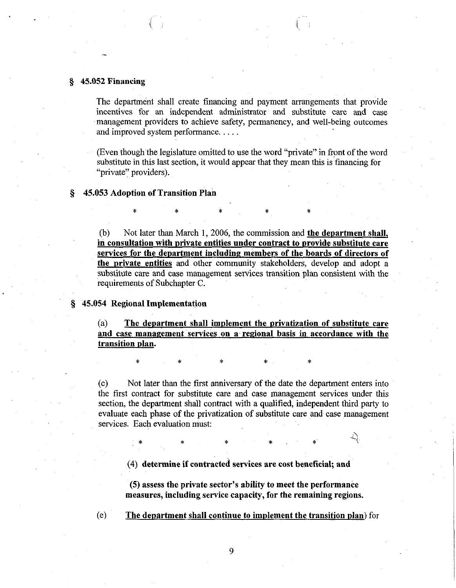# **\$j 45.052 Financing**

The department shall create financing and payment arrangements that provide incentives for an independent administrator and substitute care and case management providers to achieve safety, permanency, and well-being outcomes and improved system performance. . .

(Even though the legislature omitted to use the word "private" in front of the word substitute in this last section, it would appear that they mean this is financing for "private" providers).

**\* \* \* \* \*** 

## **5 45.053 Adoption of Transition Plan**

(b) Not later than March 1, 2006, the commission and **the department shall, in consultation with private entities under contract to provide substitute care services for the department including members of the boards of directors of the private entities** and other community stakeholders, develop and adopt a substitute care and case management services transition plan consistent with the requirements of Subchapter C.

# **5 45.054 Regional Implementation**

**(4 The department shall implement the privatization of substitute care**  and case management services on a regional basis in accordance with the **transition plan.** 

**\* \* \* \* \*** 

**(cl** Not later than the first anniversary of the date the department enters into the first contract for substitute care and case management services under this section, the department shall contract with a qualified, independent third party to evaluate each phase of the privatization of substitute care and case management services. Each evaluation must:

**\* \* \* \* \* 4)** 

**(4) determine if contracted services are cost beneficial; and** 

**(5) assess the private sector's ability to meet the performance measures, including service capacity, for the remaining regions.** 

(e) **The department shall continue to implement the transition plan)** for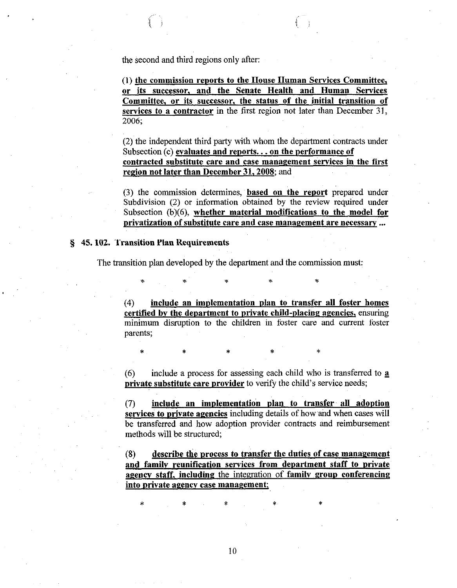the second and third regions only after:

(1) **the commission reports to the House Human Services Committee, or its successor, and the Senate Health and Human Services Committee, or its successor, the status of the initial transition of services to a contractor** in the first region not later than December 31, **2006;** 

**(2)** the independent third party with whom the department contracts under Subsection (c) **evaluates and reports... on the performance of contracted substitute care and ease management services in the first region not later than December 31,200s;** and

(3) ,the commission determines, **'based** on **the report** prepared under Subdivision (2) or information obtained by the review required under Subsection (b)(6), **whether material modifications to the model for privatization of substitute care and case management are necessary . . .** 

# **&j 45.102. Transition Plan Requirements**

The transition plan developed by the department and the commission must;

\* \* \* \* \*

\* \* \* \* \* \* \*

**(4) include an implementation plan to transfer all foster homes certified bv the department to private child-placing agencies,** ensuring minimum disruption to the children in foster care and current foster parents;

(6) include a process for assessing each child who is transferred to a **private substitute care provider** to verify the child's service needs;

**(7) include an implementation plan to transfer. all adoption**  services to private agencies including details of how and when cases will be transferred and how adoption provider contracts and reimbursement methods will be structured;

(8) **describe the process to transfer the duties of case management and familv reunification services from department staff to private**  agency staff, including the integration of family group conferencing into private agency case management;

**\* \* \* \*~ \***